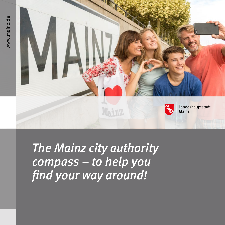

*The Mainz city authority compass – to help you find your way around!*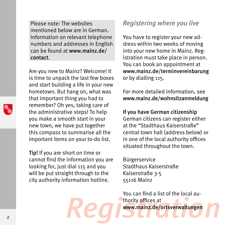Please note: The websites mentioned below are in German. Information on relevant telephone numbers and addresses in English can be found at www.mainz.de/ contact.

Are you new to Mainz? Welcome! It is time to unpack the last few boxes and start building a life in your new hometown. But hang on, what was that important thing you had to remember? Oh yes, taking care of the administrative steps! To help you make a smooth start in your new town, we have put together this compass to summarise all the important items on your to-do list.

Tip! If you are short on time or cannot find the information you are looking for, just dial 115 and you will be put straight through to the city authority information hotline.

# *Registering where you live*

You have to register your new address within two weeks of moving into your new home in Mainz. Registration must take place in person. You can book an appointment at www.mainz.de/terminvereinbarung or by dialling 115.

For more detailed information, see www.mainz.de/wohnsitzanmeldung

If you have German citizenship German citizens can register either at the "Stadthaus Kaiserstraße" central town hall (address below) or in one of the local authority offices situated throughout the town.

Bürgerservice Stadthaus Kaiserstraße Kaiserstraße 3-5 55116 Mainz

Fou can find a tist of the tocal au-<br>
2<br> **Peg D'un can find a tist of the tocal au-**You can find a list of the local authority offices at www.mainz.de/ortsverwaltungen

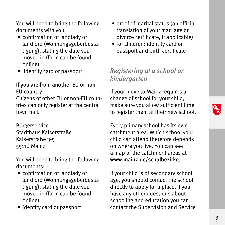You will need to bring the following documents with you:

- confirmation of landlady or landlord (Wohnungsgeberbestätigung), stating the date you moved in (form can be found online)
- identity card or passport

#### If you are from another EU or non-EU country

Citizens of other EU or non-EU countries can only register at the central town hall.

Bürgerservice Stadthaus Kaiserstraße Kaiserstraße 3-5 55116 Mainz

You will need to bring the following documents:

- confirmation of landlady or landlord (Wohnungsgeberbestätigung), stating the date you moved in (form can be found online)
- identity card or passport
- proof of marital status (an official translation of your marriage or divorce certificate, if applicable)
- for children: identity card or passport and birth certificate

# *Registering at a school or kindergarten*

If your move to Mainz requires a change of school for your child, make sure you allow sufficient time to register them at their new school.

Every primary school has its own catchment area. Which school your child can attend therefore depends on where you live. You can see a map of the catchment areas at www.mainz.de/schulbezirke.

Finoved in (form can be found<br>
online) schooling and education you can<br>
• identity card or passport contact the Supervision and Service<br>
<sup>3</sup> If your child is of secondary school age, you should contact the school directly to apply for a place. If you have any other questions about schooling and education you can contact the Supervision and Service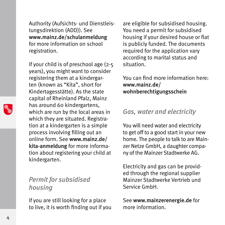Authority (Aufsichts- und Dienstleistungsdirektion (ADD)). See www.mainz.de/schulanmeldung for more information on school registration.

If your child is of preschool age (2-5 years), you might want to consider registering them at a kindergarten (known as "Kita", short for Kindertagesstätte). As the state capital of Rheinland Pfalz, Mainz has around 60 kindergartens, which are run by the local areas in which they are situated. Registration at a kindergarten is a simple process involving filling out an online form. See www.mainz.de/ kita-anmeldung for more information about registering your child at kindergarten.

## *Permit for subsidised housing*

If you are still looking for a place to live, it is worth finding out if you are eligible for subsidised housing. You need a permit for subsidised housing if your desired house or flat is publicly funded. The documents required for the application vary according to marital status and situation.

You can find more information here: www.mainz.de/ wohnberechtigungsschein

## *Gas, water and electricity*

You will need water and electricity to get off to a good start in your new home. The people to talk to are Mainzer Netze GmbH, a daughter company of the Mainzer Stadtwerke AG.

Electricity and gas can be provided through the regional supplier Mainzer Stadtwerke Vertrieb und Service GmbH.

See www.mainzerenergie.de for more information.

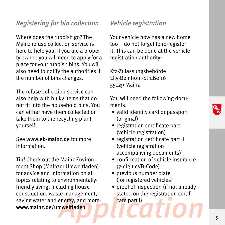# *Registering for bin collection*

Where does the rubbish go? The Mainz refuse collection service is here to help you. If you are a property owner, you will need to apply for a place for your rubbish bins. You will also need to notify the authorities if the number of bins changes.

The refuse collection service can also help with bulky items that do not fit into the household bins. You can either have them collected or take them to the recycling plant yourself.

See www.eb-mainz.de for more information.

Tip! Check out the Mainz Environment Shop (Mainzer Umweltladen) for advice and information on all topics relating to environmentallyfriendly living, including house construction, waste management, saving water and energy, and more: www.mainz.de/umweltladen

# *Vehicle registration*

Your vehicle now has a new home too – do not forget to re-register it. This can be done at the vehicle registration authority:

Kfz-Zulassungsbehörde Elly-Beinhorn-Straße 16 55129 Mainz

You will need the following documents:

- valid identity card or passport (original)
- registration certificate part I (vehicle registration)
- registration certificate part II (vehicle registration accompanying documents)
- confirmation of vehicle insurance (7-digit eVB-Code)
- previous number plate (for registered vehicles)
- re management, stated on the registration certifi-<br>Prince that the part is the part is a state part is the part is the set of the state of the state of the registration certifi-• proof of inspection (if not already stated on the registration certificate part I)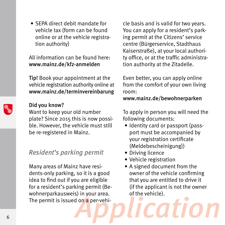• SEPA direct debit mandate for vehicle tax (form can be found online or at the vehicle registration authority)

All information can be found here: www.mainz.de/kfz-anmelden

Tip! Book your appointment at the vehicle registration authority online at www.mainz.de/terminvereinbarung

#### Did you know?

Want to keep your old number plate? Since 2015 this is now possible. However, the vehicle must still be re-registered in Mainz.

## *Resident's parking permit*

Wommerparkausweis) in your area.<br>The permit is issued on a per-vehi-Many areas of Mainz have residents-only parking, so it is a good idea to find out if you are eligible for a resident's parking permit (Bewohnerparkausweis) in your area. The permit is issued on a per-vehi-

cle basis and is valid for two years. You can apply for a resident's parking permit at the Citizens' service centre (Bürgerservice, Stadthaus Kaiserstraße), at your local authority office, or at the traffic administration authority at the Zitadelle.

Even better, you can apply online from the comfort of your own living room:

#### www.mainz.de/bewohnerparken

To apply in person you will need the following documents:

- Identity card or passport (passport must be accompanied by your registration certificate (Meldebescheinigung))
- Driving licence
- Vehicle registration
- A signed document from the owner of the vehicle confirming that you are entitled to drive it (if the applicant is not the owner of the vehicle).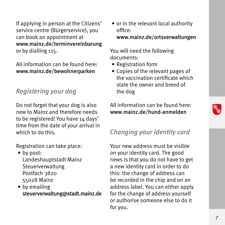If applying in person at the Citizens' service centre (Bürgerservice), you can book an appointment at www.mainz.de/terminvereinbarung or by dialling 115.

All information can be found here: www.mainz.de/bewohnerparken

# *Registering your dog*

Do not forget that your dog is also new to Mainz and therefore needs to be registered! You have 14 days' time from the date of your arrival in which to do this.

Registration can take place:

- by post: Landeshauptstadt Mainz Steuerverwaltung Postfach 3820 55028 Mainz
- by emailing steuerverwaltung@stadt.mainz.de

• or in the relevant local authority office: www.mainz.de/ortsverwaltungen

You will need the following documents:

- Registration form
- Copies of the relevant pages of the vaccination certificate which state the owner and breed of the dog

All information can be found here: www.mainz.de/hund-anmelden

# *Changing your identity card*

Steuerverwattung@stadt.mainz.de for the change of address yourself<br>or authorise someone else to do it<br>for you. Your new address must be visible on your identity card. The good news is that you do not have to get a new identity card in order to do this: the change of address can be recorded in the chip and on an address label. You can either apply for the change of address yourself or authorise someone else to do it for you.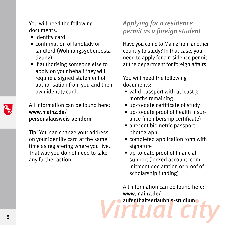You will need the following documents:

- Identity card
- confirmation of landlady or landlord (Wohnungsgeberbestätigung)
- If authorising someone else to apply on your behalf they will require a signed statement of authorisation from you and their own identity card.

All information can be found here: www.mainz.de/ personalausweis-aendern

Tip! You can change your address on your identity card at the same time as registering where you live. That way you do not need to take any further action.

# *Applying for a residence permit as a foreign student*

Have you come to Mainz from another country to study? In that case, you need to apply for a residence permit at the department for foreign affairs.

You will need the following documents:

- valid passport with at least 3 months remaining
- up-to-date certificate of study
- up-to-date proof of health insurance (membership certificate)
- a recent biometric passport photograph
- completed application form with signature
- up-to-date proof of financial support (locked account, commitment declaration or proof of scholarship funding)

**B** *B Virtual city* **services in the contract of the contract of the contract of the contract of the contract of the contract of the contract of the contract of the contract of the contract of the contract of the cont** All information can be found here: www.mainz.de/ aufenthaltserlaubnis-studium

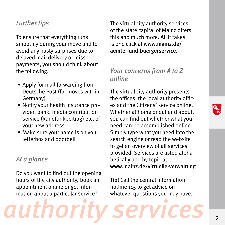## *Further tips*

To ensure that everything runs smoothly during your move and to avoid any nasty surprises due to delayed mail delivery or missed payments, you should think about the following:

- Apply for mail forwarding from Deutsche Post (for moves within Germany)
- Notify your health insurance provider, bank, media contribution service (Rundfunkbeitrag) etc. of your new address
- Make sure your name is on your letterbox and doorbell

#### *At a glance*

Do you want to find out the opening hours of the city authority, book an appointment online or get information about a particular service?

The virtual city authority services of the state capital of Mainz offers this and much more. All it takes is one click at www.mainz.de/ aemter-und-buergerservice.

# *Your concerns from A to Z online*

The virtual city authority presents the offices, the local authority offices and the Citizens' service online. Whether at home or out and about, you can find out whether what you need can be accomplished online. Simply type what you need into the search engine or read the website to get an overview of all services provided. Services are listed alphabetically and by topic at www.mainz.de/virtuelle-verwaltung

authority services<sup>1</sup>, Tip! Call the central information hotline 115 to get advice on whatever questions you may have.

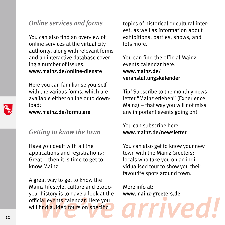## *Online services and forms*

You can also find an overview of online services at the virtual city authority, along with relevant forms and an interactive database covering a number of issues. www.mainz.de/online-dienste

Here you can familiarise yourself with the various forms, which are available either online or to download:

www.mainz.de/formulare

## *Getting to know the town*

Have you dealt with all the applications and registrations? Great – then it is time to get to know Mainz!

year mistory is to have a took at the www.mainz-greeters.de<br>official events calendar. Here you<br>will find guided tours on specific A great way to get to know the Mainz lifestyle, culture and 2,000 year history is to have a look at the official events calendar. Here you will find guided tours on specific

topics of historical or cultural interest, as well as information about exhibitions, parties, shows, and lots more.

You can find the official Mainz events calendar here: www.mainz.de/ veranstaltungskalender

Tip! Subscribe to the monthly newsletter "Mainz erleben" (Experience Mainz) – that way you will not miss any important events going on!

You can subscribe here: www.mainz.de/newsletter

You can also get to know your new town with the Mainz Greeters: locals who take you on an individualised tour to show you their favourite spots around town.

More info at: www.mainz-greeters.de

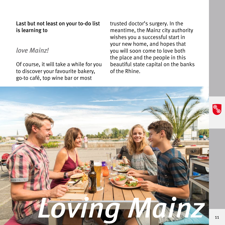#### Last but not least on your to-do list is learning to

### *love Mainz!*

Of course, it will take a while for you to discover your favourite bakery, go-to café, top wine bar or most

trusted doctor's surgery. In the meantime, the Mainz city authority wishes you a successful start in your new home, and hopes that you will soon come to love both the place and the people in this beautiful state capital on the banks of the Rhine.